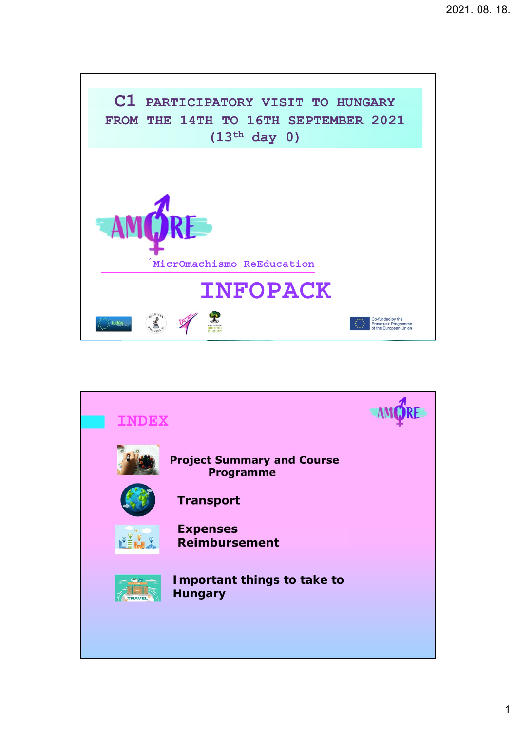

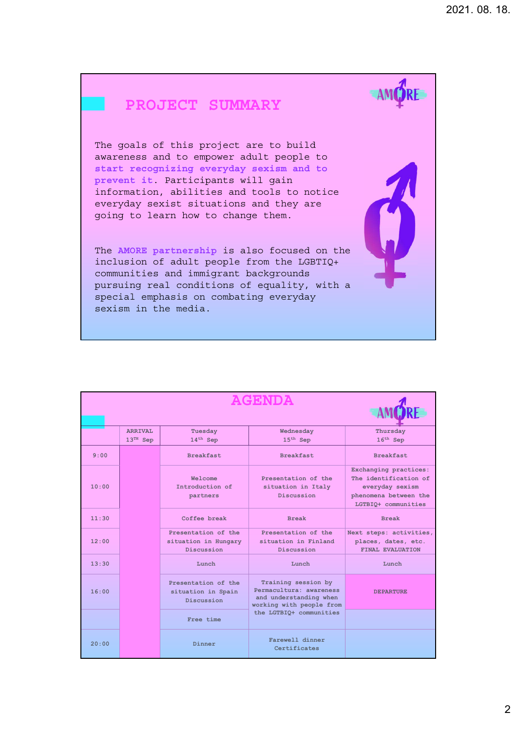## **PROJECT SUMMARY**

The goals of this project are to build awareness and to empower adult people to **start recognizing everyday sexism and to prevent it**. Participants will gain information, abilities and tools to notice everyday sexist situations and they are going to learn how to change them.

The **AMORE partnership** is also focused on the inclusion of adult people from the LGBTIQ+ communities and immigrant backgrounds pursuing real conditions of equality, with a special emphasis on combating everyday sexism in the media.

| <b>AGENDA</b> |                              |                                                           |                                                                                                      |                                                                                                                   |
|---------------|------------------------------|-----------------------------------------------------------|------------------------------------------------------------------------------------------------------|-------------------------------------------------------------------------------------------------------------------|
|               | <b>ARRIVAL</b><br>$13TH$ Sep | Tuesday<br>$14th$ Sep                                     | Wednesday<br>$15th$ Sep                                                                              | Thursday<br>$16th$ Sep                                                                                            |
| 9:00          |                              | <b>Breakfast</b>                                          | <b>Breakfast</b>                                                                                     | <b>Breakfast</b>                                                                                                  |
| 10:00         |                              | Welcome<br>Introduction of<br>partners                    | Presentation of the<br>situation in Italy<br>Discussion                                              | Exchanging practices:<br>The identification of<br>everyday sexism<br>phenomena between the<br>LGTBIQ+ communities |
| 11:30         |                              | Coffee break                                              | <b>Break</b>                                                                                         | <b>Break</b>                                                                                                      |
| 12:00         |                              | Presentation of the<br>situation in Hungary<br>Discussion | Presentation of the<br>situation in Finland<br>Discussion                                            | Next steps: activities,<br>places, dates, etc.<br><b>FINAL EVALUATION</b>                                         |
| 13:30         |                              | Lunch                                                     | <b>Lunch</b>                                                                                         | Lunch                                                                                                             |
| 16:00         |                              | Presentation of the<br>situation in Spain<br>Discussion   | Training session by<br>Permacultura: awareness<br>and understanding when<br>working with people from | <b>DEPARTURE</b>                                                                                                  |
|               |                              | Free time                                                 | the LGTBIQ+ communities                                                                              |                                                                                                                   |
| 20:00         |                              | Dinner                                                    | Farewell dinner<br>Certificates                                                                      |                                                                                                                   |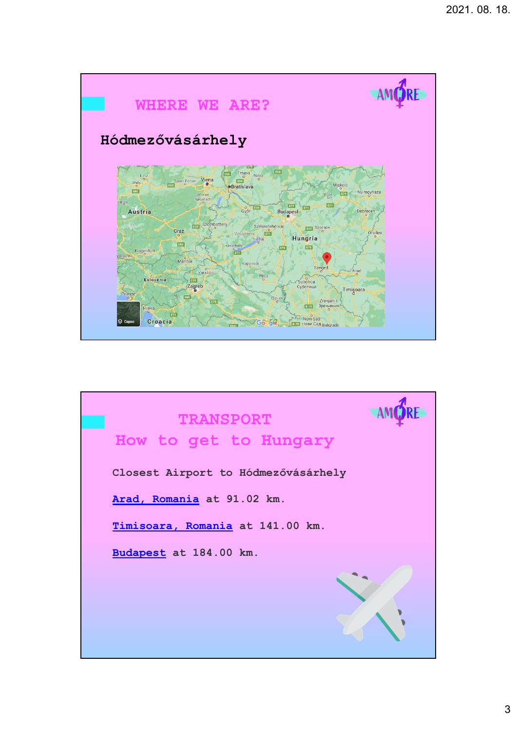

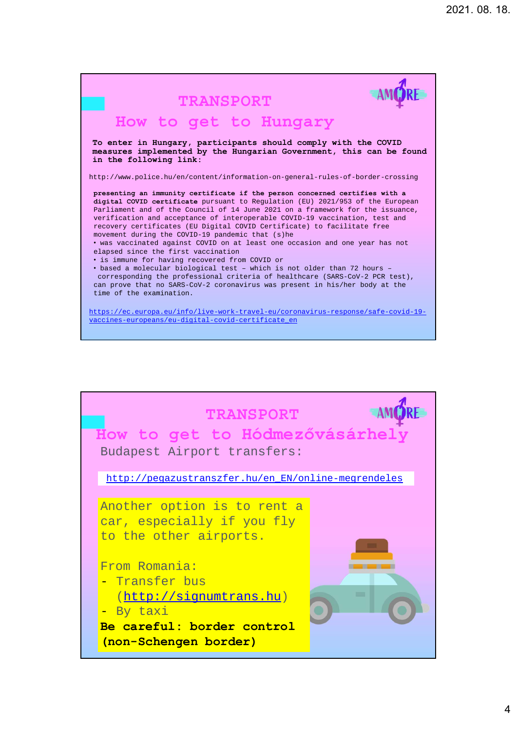

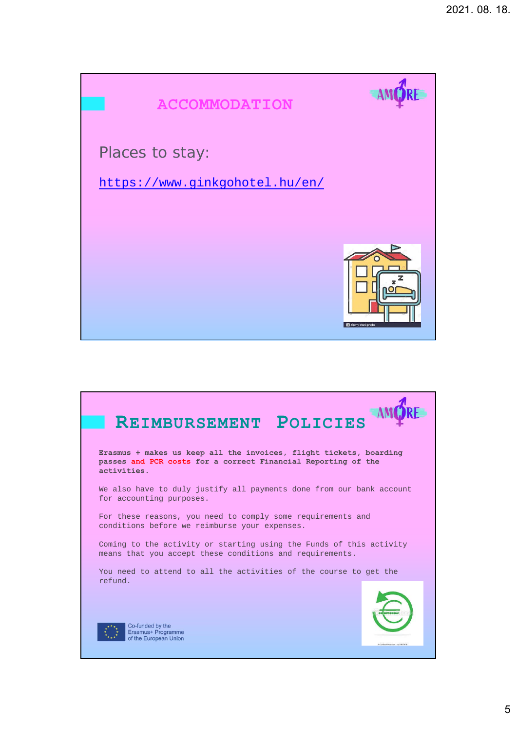

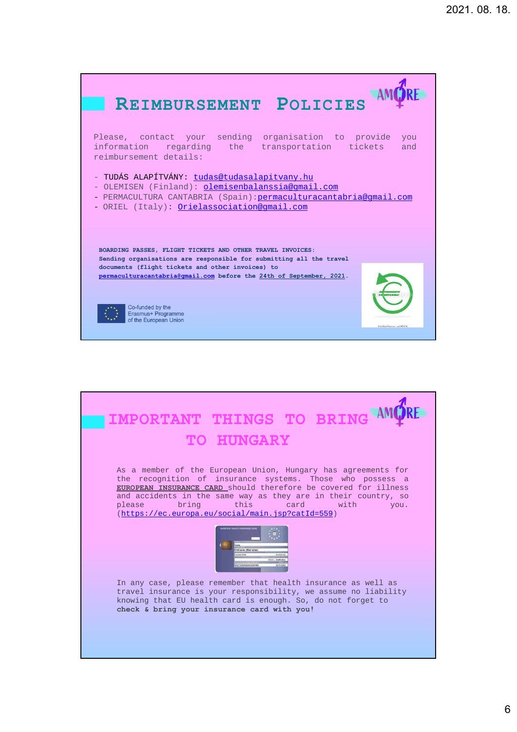